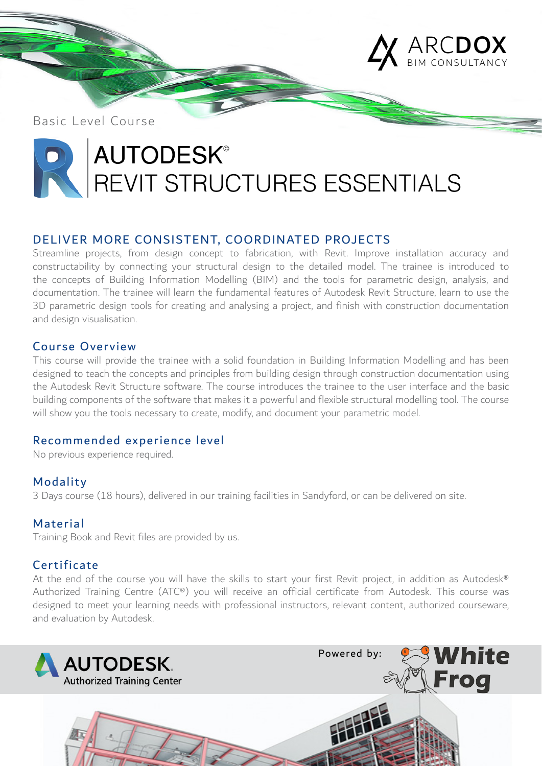

Basic Level Course

# **AUTODESK®** REVIT STRUCTURES ESSENTIALS

### DELIVER MORE CONSISTENT, COORDINATED PROJECTS

Streamline projects, from design concept to fabrication, with Revit. Improve installation accuracy and constructability by connecting your structural design to the detailed model. The trainee is introduced to the concepts of Building Information Modelling (BIM) and the tools for parametric design, analysis, and documentation. The trainee will learn the fundamental features of Autodesk Revit Structure, learn to use the 3D parametric design tools for creating and analysing a project, and finish with construction documentation and design visualisation.

### Course Overview

This course will provide the trainee with a solid foundation in Building Information Modelling and has been designed to teach the concepts and principles from building design through construction documentation using the Autodesk Revit Structure software. The course introduces the trainee to the user interface and the basic building components of the software that makes it a powerful and flexible structural modelling tool. The course will show you the tools necessary to create, modify, and document your parametric model.

### Recommended experience level

No previous experience required.

### Modality

3 Days course (18 hours), delivered in our training facilities in Sandyford, or can be delivered on site.

### Material

Training Book and Revit files are provided by us.

### Certificate

At the end of the course you will have the skills to start your first Revit project, in addition as Autodesk® Authorized Training Centre (ATC®) you will receive an official certificate from Autodesk. This course was designed to meet your learning needs with professional instructors, relevant content, authorized courseware, and evaluation by Autodesk.